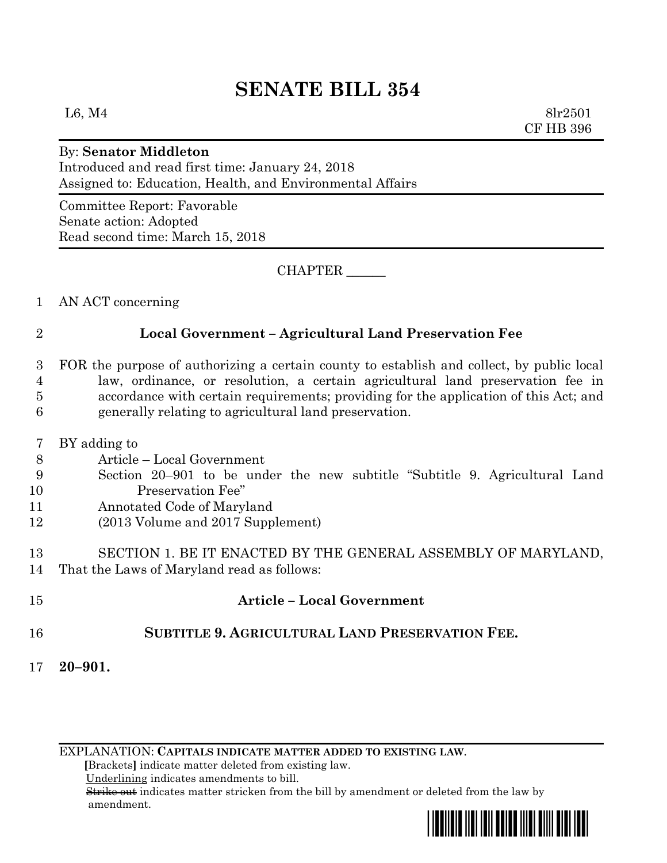## **SENATE BILL 354**

L6, M4  $8\text{lr}2501$ CF HB 396

## By: **Senator Middleton**

Introduced and read first time: January 24, 2018 Assigned to: Education, Health, and Environmental Affairs

Committee Report: Favorable Senate action: Adopted Read second time: March 15, 2018

CHAPTER \_\_\_\_\_\_

1 AN ACT concerning

## 2 **Local Government – Agricultural Land Preservation Fee**

 FOR the purpose of authorizing a certain county to establish and collect, by public local law, ordinance, or resolution, a certain agricultural land preservation fee in accordance with certain requirements; providing for the application of this Act; and generally relating to agricultural land preservation.

- 7 BY adding to
- 8 Article Local Government
- 9 Section 20–901 to be under the new subtitle "Subtitle 9. Agricultural Land 10 Preservation Fee"
- 11 Annotated Code of Maryland
- 12 (2013 Volume and 2017 Supplement)

13 SECTION 1. BE IT ENACTED BY THE GENERAL ASSEMBLY OF MARYLAND, 14 That the Laws of Maryland read as follows:

- 15 **Article – Local Government**
- 16 **SUBTITLE 9. AGRICULTURAL LAND PRESERVATION FEE.**
- 17 **20–901.**

EXPLANATION: **CAPITALS INDICATE MATTER ADDED TO EXISTING LAW**.

 **[**Brackets**]** indicate matter deleted from existing law.

Underlining indicates amendments to bill.

 Strike out indicates matter stricken from the bill by amendment or deleted from the law by amendment.